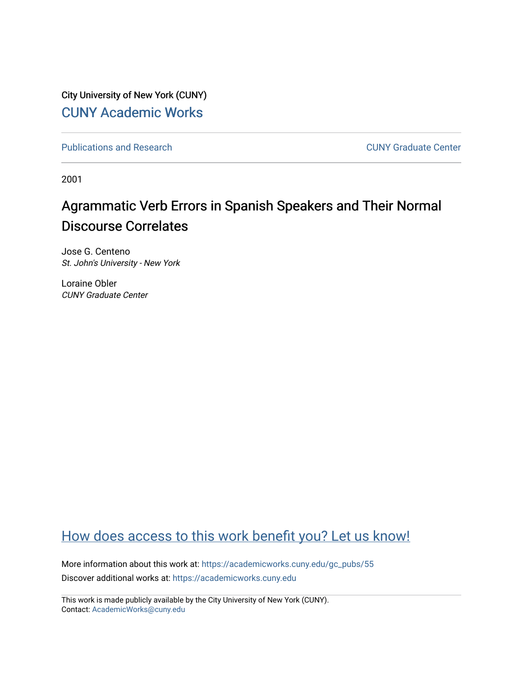City University of New York (CUNY) [CUNY Academic Works](https://academicworks.cuny.edu/) 

[Publications and Research](https://academicworks.cuny.edu/gc_pubs) [CUNY Graduate Center](https://academicworks.cuny.edu/gc) 

2001

# Agrammatic Verb Errors in Spanish Speakers and Their Normal Discourse Correlates

Jose G. Centeno St. John's University - New York

Loraine Obler CUNY Graduate Center

# [How does access to this work benefit you? Let us know!](http://ols.cuny.edu/academicworks/?ref=https://academicworks.cuny.edu/gc_pubs/55)

More information about this work at: [https://academicworks.cuny.edu/gc\\_pubs/55](https://academicworks.cuny.edu/gc_pubs/55)  Discover additional works at: [https://academicworks.cuny.edu](https://academicworks.cuny.edu/?)

This work is made publicly available by the City University of New York (CUNY). Contact: [AcademicWorks@cuny.edu](mailto:AcademicWorks@cuny.edu)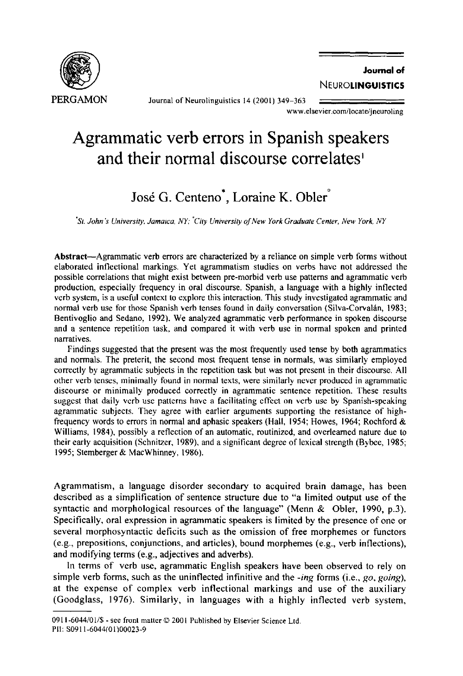

**Journal of NEUROLINGUISTICS** 

Journal of Neurolinguistics 14 (2001) 349-363

www.elsevier.com/locate/jneuroling

# **Agrammatic verb errors in Spanish speakers**  and their normal discourse correlates<sup>1</sup>

## **Jos6 G. Centeno\*, Loraine K. Obler °**

*"St. John's University, Jamaica, NY; °City University of New York Graduate Center, New York, NY* 

Abstract--Agrammatic verb errors are characterized by a reliance on simple verb forms without elaborated inflectional markings. Yet agrammatism studies on verbs have not addressed the possible correlations that might exist between pre-morbid verb use patterns and agrammatic verb production, especially frequency in oral discourse. Spanish, a language with a highly inflected verb system, is a useful context to explore this interaction. This study investigated agrammatic and normal verb use for those Spanish verb tenses found in daily conversation (Silva-Corvalán, 1983; Bentivoglio and Sedano, 1992). We analyzed agrammatic verb performance in spoken discourse and a sentence repetition task, and compared it with verb use in normal spoken and printed narratives.

Findings suggested that the present was the most frequently used tense by both agrammatics and normals. The preterit, the second most frequent tense in normals, was similarly employed correctly by agrammatic subjects in the repetition task but was not present in their discourse. All other verb tenses, minimally found in normal texts, were similarly never produced in agrammatic discourse or minimally produced correctly in agrammatic sentence repetition. These results suggest that daily verb use patterns have a facilitating effect on verb use by Spanish-speaking agrammatic subjects. They agree with earlier arguments supporting the resistance of highfrequency words to errors in normal and aphasic speakers (Hall, 1954; Howes, 1964; Rochford & Williams, 1984), possibly a reflection of an automatic, routinized, and overlearned nature due to their early acquisition (Schnitzer, 1989), and a significant degree of lexical strength (Bybee, 1985; 1995; Stemberger & MacWhinney, 1986).

Agrammatism, a language disorder secondary to acquired brain damage, has been described as a simplification of sentence structure due to "a limited output use of the syntactic and morphological resources of the language" (Menn  $\&$  Obler, 1990, p.3). Specifically, oral expression in agrammatic speakers is limited by the presence of one or several morphosyntactic deficits such as the omission of free morphemes or functors (e.g., prepositions, conjunctions, and articles), bound morphemes (e.g., verb inflections), and modifying terms (e.g., adjectives and adverbs).

In terms of verb use, agrammatic English speakers have been observed to rely on simple verb forms, such as the uninflected infinitive and the *-ing* forms (i.e., *go, going),*  at the expense of complex verb inflectional markings and use of the auxiliary (Goodglass, 1976). Similarly, in languages with a highly inflected verb system,

<sup>0911-6044/01/\$ -</sup> see front matter © 2001 Published by Elsevier Science Ltd.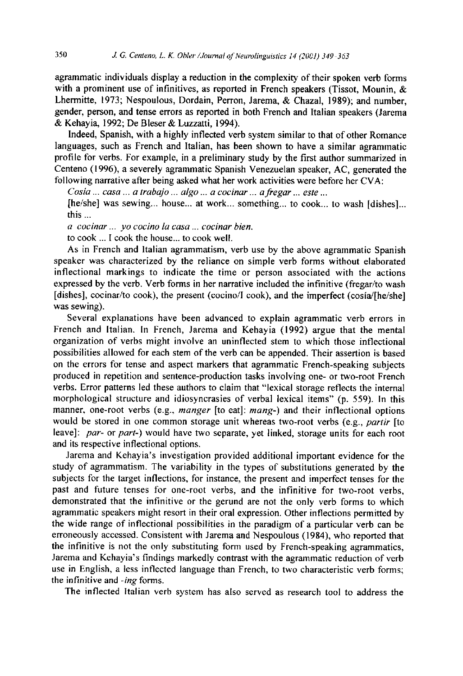agrammatic individuals display a reduction in the complexity of their spoken verb forms with a prominent use of infinitives, as reported in French speakers (Tissot, Mounin,  $\&$ Lhermitte, 1973; Nespoulous, Dordain, Perron, Jarema, & Chazal, 1989); and number, gender, person, and tense errors as reported in both French and Italian speakers (Jarema & Kehayia, 1992; De Bleser & Luzzatti, 1994).

Indeed, Spanish, with a highly inflected verb system similar to that of other Romance languages, such as French and Italian, has been shown to have a similar agrammatic profile for verbs. For example, in a preliminary study by the first author summarized in Centeno (1996), a severely agrammatic Spanish Venezuelan speaker, AC, generated the following narrative after being asked what her work activities were before her CVA:

*Cosia ... casa ... a trabajo ... algo ... a cocinar ... a fregar ... este ...* 

[he/she] was sewing... house... at work... something... to cook... to wash [dishes]... this ...

*a cocinar.., yo cocino la casa ... cocinar bien.* 

to cook ... I cook the house.., to cook well.

As in French and Italian agrammatism, verb use by the above agrammatic Spanish speaker was characterized by the reliance on simple verb forms without elaborated inflectional markings to indicate the time or person associated with the actions expressed by the verb. Verb forms in her narrative included the infinitive (fregar/to wash  $[dishes]$ , cocinar/to cook), the present (cocino/I cook), and the imperfect (cosia/ $[he/she]$ was sewing).

Several explanations have been advanced to explain agrammatic verb errors in French and Italian. In French, Jarema and Kehayia (1992) argue that the mental organization of verbs might involve an uninflected stem to which those inflectional possibilities allowed for each stem of the verb can be appended. Their assertion is based on the errors for tense and aspect markers that agrammatic French-speaking subjects produced in repetition and sentence-production tasks involving one- or two-root French verbs. Error patterns led these authors to claim that "lexical storage reflects the internal morphological structure and idiosyncrasies of verbal lexical items" (p. 559). In this manner, one-root verbs (e.g., *manger* [to eat]: *mang-)* and their inflectional options would be stored in one common storage unit whereas two-root verbs (e.g., *partir* [to leave]: *par-* or *part-)* would have two separate, yet linked, storage units for each root and its respective inflectional options.

Jarema and Kehayia's investigation provided additional important evidence for the study of agrammatism. The variability in the types of substitutions generated by the subjects for the target inflections, for instance, the present and imperfect tenses for the past and future tenses for one-root verbs, and the infinitive for two-root verbs, demonstrated that the infinitive or the gerund are not the only verb forms to which agrammatic speakers might resort in their oral expression. Other inflections permitted by the wide range of inflectional possibilities in the paradigm of a particular verb can be erroneously accessed. Consistent with Jarema and Nespoulous (1984), who reported that the infinitive is not the only substituting form used by French-speaking agrammatics, Jarema and Kehayia's findings markedly contrast with the agrammatic reduction of verb use in English, a less inflected language than French, to two characteristic verb forms; the infinitive and *-ing* forms.

The inflected Italian verb system has also served as research tool to address the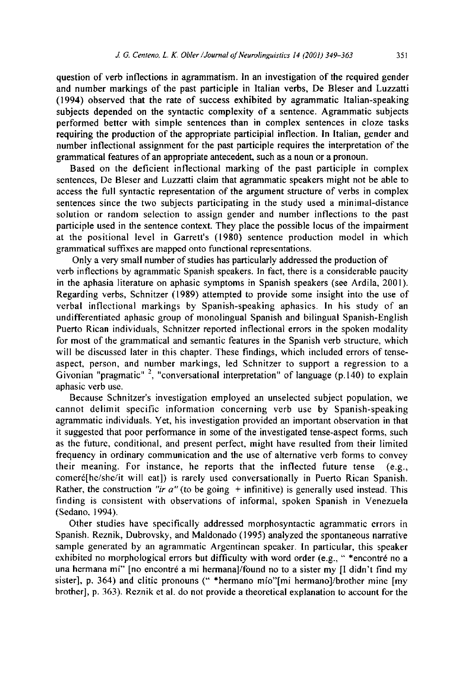question of verb inflections in agrammatism. In an investigation of the required gender and number markings of the past participle in Italian verbs, De Bleser and Luzzatti (1994) observed that the rate of success exhibited by agrammatic Italian-speaking subjects depended on the syntactic complexity of a sentence. Agrammatic subjects performed better with simple sentences than in complex sentences in cloze tasks requiring the production of the appropriate participial inflection. In Italian, gender and number inflectional assignment for the past participle requires the interpretation of the grammatical features of an appropriate antecedent, such as a noun or a pronoun.

Based on the deficient inflectional marking of the past participle in complex sentences, De Bleser and Luzzatti claim that agrammatic speakers might not be able to access the full syntactic representation of the argument structure of verbs in complex sentences since the two subjects participating in the study used a minimal-distance solution or random selection to assign gender and number inflections to the past participle used in the sentence context. They place the possible locus of the impairment at the positional level in Garrett's (1980) sentence production model in which grammatical suffixes are mapped onto functional representations.

Only a very small number of studies has particularly addressed the production of verb inflections by agrammatic Spanish speakers. In fact, there is a considerable paucity in the aphasia literature on aphasic symptoms in Spanish speakers (see Ardila, 2001). Regarding verbs, Schnitzer (1989) attempted to provide some insight into the use of verbal inflectional markings by Spanish-speaking aphasics. In his study of an undifferentiated aphasic group of monolingual Spanish and bilingual Spanish-English Puerto Rican individuals, Schnitzer reported inflectional errors in the spoken modality for most of the grammatical and semantic features in the Spanish verb structure, which will be discussed later in this chapter. These findings, which included errors of tenseaspect, person, and number markings, led Schnitzer to support a regression to a Givonian "pragmatic" <sup>2</sup>, "conversational interpretation" of language (p.140) to explain aphasic verb use.

Because Schnitzer's investigation employed an unselected subject population, we cannot delimit specific information concerning verb use by Spanish-speaking agrammatic individuals. Yet, his investigation provided an important observation in that it suggested that poor performance in some of the investigated tense-aspect forms, such as the future, conditional, and present perfect, might have resulted from their limited frequency in ordinary communication and the use of alternative verb forms to convey their meaning. For instance, he reports that the inflected future tense (e.g., comer6[he/she/it will eat]) is rarely used conversationally in Puerto Rican Spanish. Rather, the construction "ir  $a''$  (to be going  $+$  infinitive) is generally used instead. This finding is consistent with observations of informal, spoken Spanish in Venezuela (Sedano, 1994).

Other studies have specifically addressed morphosyntactic agrammatic errors in Spanish. Reznik, Dubrovsky, and Maldonado (1995) analyzed the spontaneous narrative sample generated by an agrammatic Argentinean speaker. In particular, this speaker exhibited no morphological errors but difficulty with word order (e.g., "\*encontré no a una hermana mi" [no encontré a mi hermana]/found no to a sister my  $\iint$  didn't find my sister], p. 364) and clitic pronouns ("\*hermano mio"[mi hermano]/brother mine [my brother], p. 363). Reznik et al. do not provide a theoretical explanation to account for the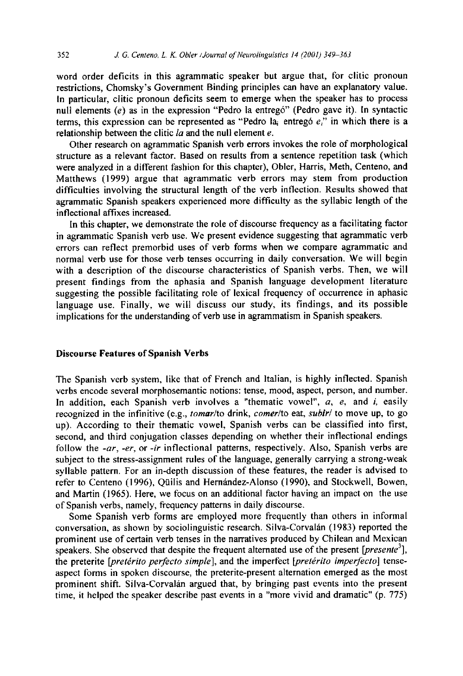word order deficits in this agrammatic speaker but argue that, for clitic pronoun restrictions, Chomsky's Government Binding principles can have an explanatory value. In particular, clitic pronoun deficits seem to emerge when the speaker has to process null elements (e) as in the expression "Pedro la entreg6" (Pedro gave it). In syntactic terms, this expression can be represented as "Pedro la, entregó  $e_i$ " in which there is a relationship between the clitic *la* and the null element e.

Other research on agrammatic Spanish verb errors invokes the role of morphological structure as a relevant factor. Based on results from a sentence repetition task (which were analyzed in a different fashion for this chapter), Obler, Harris, Meth, Centeno, and Matthews (1999) argue that agrammatic verb errors may stem from production difficulties involving the structural length of the verb inflection. Results showed that agrammatic Spanish speakers experienced more difficulty as the syllabic length of the inflectional affixes increased.

In this chapter, we demonstrate the role of discourse frequency as a facilitating factor in agrammatic Spanish verb use. We present evidence suggesting that agrammatic verb errors can reflect premorbid uses of verb forms when we compare agrammatic and normal verb use for those verb tenses occurring in daily conversation. We will begin with a description of the discourse characteristics of Spanish verbs. Then, we will present findings from the aphasia and Spanish language development literature suggesting the possible facilitating role of lexical frequency of occurrence in aphasic language use. Finally, we will discuss our study, its findings, and its possible implications for the understanding of verb use in agrammatism in Spanish speakers.

#### **Discourse Features of Spanish Verbs**

The Spanish verb system, like that of French and Italian, is highly inflected. Spanish verbs encode several morphosemantic notions: tense, mood, aspect, person, and number. In addition, each Spanish verb involves a "thematic vowel",  $a$ ,  $e$ , and  $i$ , easily recognized in the infinitive (e.g., *tomar*/to drink, *comer*/to eat, *subir*/ to move up, to go up). According to their thematic vowel, Spanish verbs can be classified into first, second, and third conjugation classes depending on whether their inflectional endings follow the *-ar, -er,* or *-ir* inflectional patterns, respectively. Also, Spanish verbs are subject to the stress-assignment rules of the language, generally carrying a strong-weak syllable pattern. For an in-depth discussion of these features, the reader is advised to refer to Centeno (1996), Qüilis and Hernández-Alonso (1990), and Stockwell, Bowen, and Martin (1965). Here, we focus on an additional factor having an impact on the use of Spanish verbs, namely, frequency patterns in daily discourse.

Some Spanish verb forms are employed more frequently than others in informal conversation, as shown by sociolinguistic research. Silva-Corvalán (1983) reported the prominent use of certain verb tenses in the narratives produced by Chilean and Mexican speakers. She observed that despite the frequent alternated use of the present *[presente<sup>3</sup>*], the preterite *[pret&ito perfecto simple],* and the imperfect *[pretdrito imperfecto]* tenseaspect forms in spoken discourse, the preterite-present alternation emerged as the most prominent shift. Silva-Corvalan argued that, by bringing past events into the present time, it helped the speaker describe past events in a "more vivid and dramatic" (p. 775)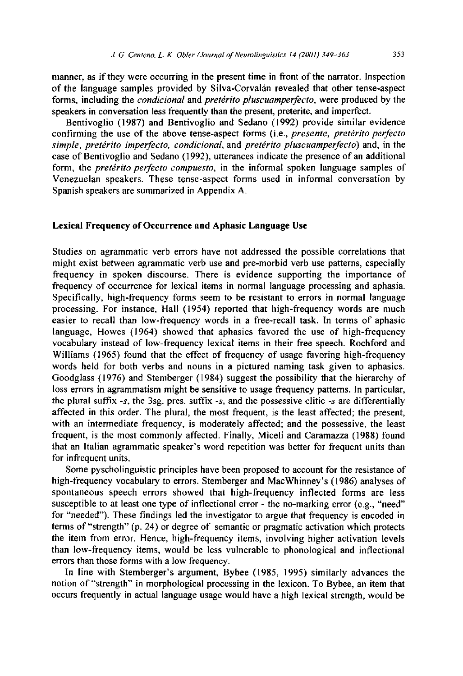manner, as if they were occurring in the present time in front of the narrator. Inspection of the language samples provided by Silva-Corvalán revealed that other tense-aspect forms, including the *condicional* and *preterito pluscuamperfecto*, were produced by the speakers in conversation less frequently than the present, preterite, and imperfect.

Bentivoglio (1987) and Bentivoglio and Sedano (1992) provide similar evidence confirming the use of the above tense-aspect forms (i.e., *presente, pretérito perfecto* simple, pretérito imperfecto, condicional, and pretérito pluscuamperfecto) and, in the case of Bentivoglio and Sedano (1992), utterances indicate the presence of an additional form, the *pretdrito perfecto compuesto,* in the informal spoken language samples of Venezuelan speakers. These tense-aspect forms used in informal conversation by Spanish speakers are summarized in Appendix A.

#### **Lexical Frequency of Occurrence and Aphasic Language Use**

Studies on agrammatic verb errors have not addressed the possible correlations that might exist between agrammatic verb use and pre-morbid verb use patterns, especially frequency in spoken discourse. There is evidence supporting the importance of frequency of occurrence for lexical items in normal language processing and aphasia. Specifically, high-frequency forms seem to be resistant to errors in normal language processing. For instance, Hall (1954) reported that high-frequency words are much easier to recall than low-frequency words in a free-recall task. In terms of aphasic language, Howes (1964) showed that aphasics favored the use of high-frequency vocabulary instead of low-frequency lexical items in their free speech. Rochford and Williams (1965) found that the effect of frequency of usage favoring high-frequency words held for both verbs and nouns in a pictured naming task given to aphasics. Goodglass (1976) and Stemberger (1984) suggest the possibility that the hierarchy of loss errors in agrammatism might be sensitive to usage frequency patterns. In particular, the plural suffix -s, the 3sg. pres. suffix -s, and the possessive clitic -s are differentially affected in this order. The plural, the most frequent, is the least affected; the present, with an intermediate frequency, is moderately affected; and the possessive, the least frequent, is the most commonly affected. Finally, Miceli and Caramazza (1988) found that an Italian agrammatic speaker's word repetition was better for frequent units than for infrequent units.

Some pyscholinguistic principles have been proposed to account for the resistance of high-frequency vocabulary to errors. Stemberger and MacWhinney's (1986) analyses of spontaneous speech errors showed that high-frequency inflected forms are less susceptible to at least one type of inflectional error - the no-marking error (e.g., "need" for "needed"). These findings led the investigator to argue that frequency is encoded in terms of"strength" (p. 24) or degree of semantic or pragmatic activation which protects the item from error. Hence, high-frequency items, involving higher activation levels than low-frequency items, would be less vulnerable to phonological and inflectional errors than those forms with a low frequency.

In line with Stemberger's argument, Bybee (1985, 1995) similarly advances the notion of"strength" in morphological processing in the lexicon. To Bybee, an item that occurs frequently in actual language usage would have a high lexical strength, would be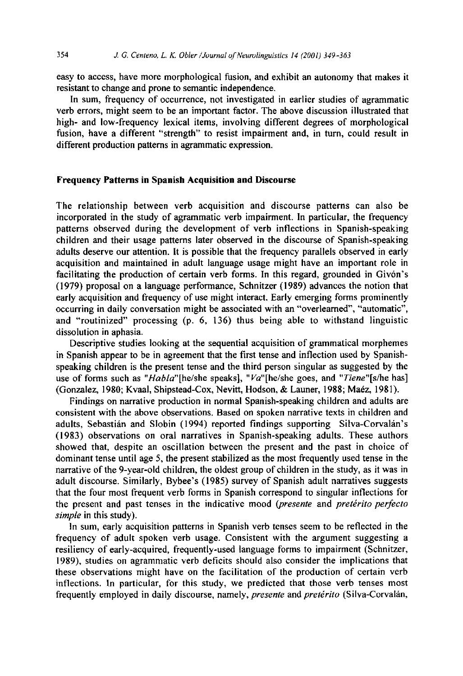easy to access, have more morphological fusion, and exhibit an autonomy that makes it resistant to change and prone to semantic independence.

In sum, frequency of occurrence, not investigated in earlier studies of agrammatic verb errors, might seem to be an important factor. The above discussion illustrated that high- and low-frequency lexical items, involving different degrees of morphological fusion, have a different "strength" to resist impairment and, in turn, could result in different production patterns in agrammatic expression.

#### **Frequency Patterns in Spanish Acquisition and Discourse**

The relationship between verb acquisition and discourse patterns can also be incorporated in the study of agrammatic verb impairment. In particular, the frequency patterns observed during the development of verb inflections in Spanish-speaking children and their usage patterns later observed in the discourse of Spanish-speaking adults deserve our attention. It is possible that the frequency parallels observed in early acquisition and maintained in adult language usage might have an important role in facilitating the production of certain verb forms. In this regard, grounded in Givón's (1979) proposal on a language performance, Schnitzer (1989) advances the notion that early acquisition and frequency of use might interact. Early emerging forms prominently occurring in daily conversation might be associated with an "overlearned", "automatic", and "routinized" processing (p. 6, 136) thus being able to withstand linguistic dissolution in aphasia.

Descriptive studies looking at the sequential acquisition of grammatical morphemes in Spanish appear to be in agreement that the first tense and inflection used by Spanishspeaking children is the present tense and the third person singular as suggested by the use of forms such as *"Habla"[he/she* speaks], *"Va"[he/she* goes, and *"Tiene"[s/he* has] (Gonzalez, 1980; Kvaal, Shipstead-Cox, Nevitt, Hodson, & Launer, 1988; Ma6z, 1981).

Findings on narrative production in normal Spanish-speaking children and adults are consistent with the above observations. Based on spoken narrative texts in children and adults, Sebastián and Slobin (1994) reported findings supporting Silva-Corvalán's (1983) observations on oral narratives in Spanish-speaking adults. These authors showed that, despite an oscillation between the present and the past in choice of dominant tense until age 5, the present stabilized as the most frequently used tense in the narrative of the 9-year-old children, the oldest group of children in the study, as it was in adult discourse. Similarly, Bybee's (1985) survey of Spanish adult narratives suggests that the four most frequent verb forms in Spanish correspond to singular inflections for the present and past tenses in the indicative mood *(presente and pretérito perfecto simple* in this study).

In sum, early acquisition patterns in Spanish verb tenses seem to be reflected in the frequency of adult spoken verb usage. Consistent with the argument suggesting a resiliency of early-acquired, frequently-used language forms to impairment (Schnitzer, 1989), studies on agrammatic verb deficits should also consider the implications that these observations might have on the facilitation of the production of certain verb inflections. In particular, for this study, we predicted that those verb tenses most frequently employed in daily discourse, namely, *presente* and *pretérito* (Silva-Corvalán,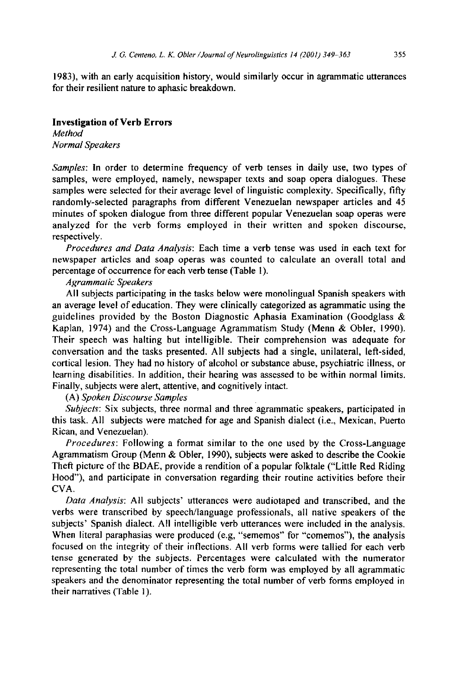1983), with an early acquisition history, would similarly occur in agrammatic utterances for their resilient nature to aphasic breakdown.

#### **Investigation of Verb** Errors

*Method Normal Speakers* 

*Samples:* In order to determine frequency of verb tenses in daily use, two types of samples, were employed, namely, newspaper texts and soap opera dialogues. These samples were selected for their average level of linguistic complexity. Specifically, fifty randomly-selected paragraphs from different Venezuelan newspaper articles and 45 minutes of spoken dialogue from three different popular Venezuelan soap operas were analyzed for the verb forms employed in their written and spoken discourse, respectively.

*Procedures and Data Analysis:* Each time a verb tense was used in each text for newspaper articles and soap operas was counted to calculate an overall total and percentage of occurrence for each verb tense (Table 1).

### *A grammatic Speakers*

All subjects participating in the tasks below were monolingual Spanish speakers with an average level of education. They were clinically categorized as agrammatic using the guidelines provided by the Boston Diagnostic Aphasia Examination (Goodglass & Kaplan, 1974) and the Cross-Language Agrammatism Study (Menn & Obler, 1990). Their speech was halting but intelligible. Their comprehension was adequate for conversation and the tasks presented. All subjects had a single, unilateral, left-sided, cortical lesion. They had no history of alcohol or substance abuse, psychiatric illness, or learning disabilities. In addition, their hearing was assessed to be within normal limits. Finally, subjects were alert, attentive, and cognitively intact.

### (A) *Spoken Discourse Samples*

*Subjects:* Six subjects, three normal and three agrammatic speakers, participated in this task. All subjects were matched for age and Spanish dialect (i.e., Mexican, Puerto Rican, and Venezuelan).

*Procedures:* Following a format similar to the one used by the Cross-Language Agrammatism Group (Menn & Obler, 1990), subjects were asked to describe the Cookie Theft picture of the BDAE, provide a rendition of a popular folktale ("Little Red Riding Hood"), and participate in conversation regarding their routine activities before their CVA.

*Data Analysis:* All subjects' utterances were audiotaped and transcribed, and the verbs were transcribed by speech/language professionals, all native speakers of the subjects' Spanish dialect. All intelligible verb utterances were included in the analysis. When literal paraphasias were produced (e.g, "sememos" for "comemos"), the analysis focused on the integrity of their inflections. All verb forms were tallied for each verb tense generated by the subjects. Percentages were calculated with the numerator representing the total number of times the verb form was employed by all agrammatic speakers and the denominator representing the total number of verb forms employed in their narratives (Table 1).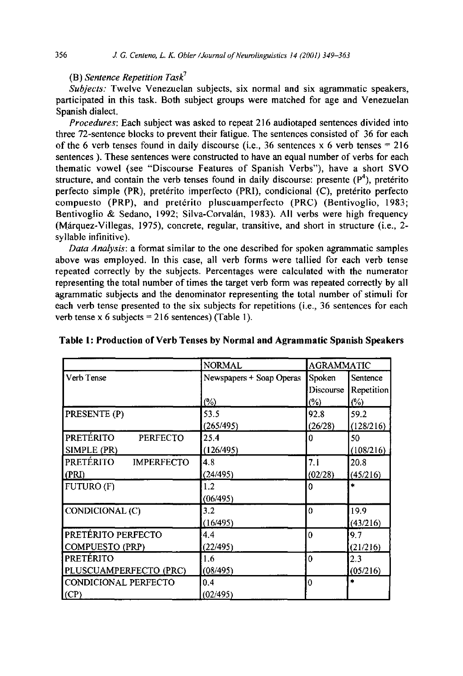### (B) *Sentence Repetition Task 7*

*Subjects:* Twelve Venezuelan subjects, six normal and six agrammatic speakers, participated in this task. Both subject groups were matched for age and Venezuelan Spanish dialect.

*Procedures:* Each subject was asked to repeat 216 audiotaped sentences divided into three 72-sentence blocks to prevent their fatigue. The sentences consisted of 36 for each of the 6 verb tenses found in daily discourse (i.e., 36 sentences x 6 verb tenses  $= 216$ ) sentences ). These sentences were constructed to have an equal number of verbs for each thematic vowel (see "Discourse Features of Spanish Verbs"), have a short SVO structure, and contain the verb tenses found in daily discourse: presente  $(P<sup>4</sup>)$ , pretérito perfecto simple (PR), pretérito imperfecto (PRI), condicional (C), pretérito perfecto compuesto (PRP), and pret6rito pluscuamperfecto (PRC) (Bentivoglio, 1983; Bentivoglio & Sedano, 1992; Silva-Corvalán, 1983). All verbs were high frequency (Márquez-Villegas, 1975), concrete, regular, transitive, and short in structure (i.e., 2syllable infinitive).

*Data Analysis:* a format similar to the one described for spoken agrammatic samples above was employed. In this case, all verb forms were tallied for each verb tense repeated correctly by the subjects. Percentages were calculated with the numerator representing the total number of times the target verb form was repeated correctly by all agrammatic subjects and the denominator representing the total number of stimuli for each verb tense presented to the six subjects for repetitions (i.e., 36 sentences for each verb tense x 6 subjects =  $216$  sentences) (Table 1).

|                                       | <b>NORMAL</b>            | <b>AGRAMMATIC</b> |            |
|---------------------------------------|--------------------------|-------------------|------------|
| Verb Tense                            | Newspapers + Soap Operas | Spoken            | Sentence   |
|                                       |                          | <b>Discourse</b>  | Repetition |
|                                       | $(\%)$                   | $(\%)$            | $($ %)     |
| PRESENTE (P)                          | 53.5                     | 92.8              | 59.2       |
|                                       | (265/495)                | (26/28)           | (128/216)  |
| PRETÉRITO<br><b>PERFECTO</b>          | 25.4                     | $\theta$          | 50         |
| SIMPLE (PR)                           | (126/495)                |                   | (108/216)  |
| <b>PRETÉRITO</b><br><b>IMPERFECTO</b> | 4.8                      | 7.1               | 20.8       |
| (PRI)                                 | (24/495)                 | (02/28)           | (45/216)   |
| FUTURO (F)                            | 1.2                      | 0                 | ź.         |
|                                       | (06/495)                 |                   |            |
| CONDICIONAL (C)                       | 3.2                      | $\theta$          | 19.9       |
|                                       | (16/495)                 |                   | (43/216)   |
| PRETÉRITO PERFECTO                    | 4.4                      | $\theta$          | 9.7        |
| <b>COMPUESTO (PRP)</b>                | (22/495)                 |                   | (21/216)   |
| <b>PRETÉRITO</b>                      | 1.6                      | $\mathbf{0}$      | 2.3        |
| PLUSCUAMPERFECTO (PRC)                | (08/495)                 |                   | (05/216)   |
| CONDICIONAL PERFECTO                  | 0.4                      | 0                 |            |
| $ $ (CP)                              | (02/495)                 |                   |            |

|  |  | Table 1: Production of Verb Tenses by Normal and Agrammatic Spanish Speakers |  |
|--|--|------------------------------------------------------------------------------|--|
|  |  |                                                                              |  |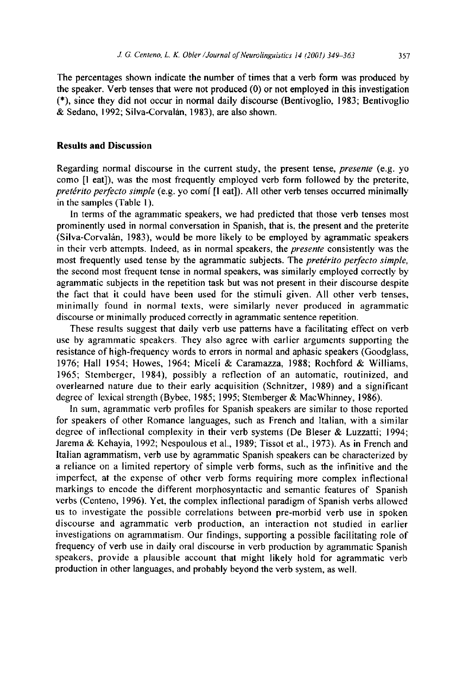The percentages shown indicate the number of times that a verb form was produced by the speaker. Verb tenses that were not produced (0) or not employed in this investigation (\*), since they did not occur in normal daily discourse (Bentivoglio, 1983; Bentivoglio & Sedano, 1992; Silva-Corvalan, 1983), are also shown.

#### **Results and Discussion**

Regarding normal discourse in the current study, the present tense, *presente* (e.g. yo como [I eat]), was the most frequently employed verb form followed by the preterite, *pretdrito perfecto simple* (e.g. yo comi [I eat]). All other verb tenses occurred minimally in the samples (Table 1).

In terms of the agrammatic speakers, we had predicted that those verb tenses most prominently used in normal conversation in Spanish, that is, the present and the preterite (Silva-Corvalán, 1983), would be more likely to be employed by agrammatic speakers in their verb attempts. Indeed, as in normal speakers, the *presente* consistently was the most frequently used tense by the agrammatic subjects. The *preterito perfecto simple*, the second most frequent tense in normal speakers, was similarly employed correctly by agrammatic subjects in the repetition task but was not present in their discourse despite the fact that it could have been used for the stimuli given. All other verb tenses, minimally found in normal texts, were similarly never produced in agrammatic discourse or minimally produced correctly in agrammatic sentence repetition.

These results suggest that daily verb use patterns have a facilitating effect on verb use by agrammatic speakers. They also agree with earlier arguments supporting the resistance of high-frequency words to errors in normal and aphasic speakers (Goodglass, 1976; Hall 1954; Howes, 1964; Miceli & Caramazza, 1988; Rochford & Williams, 1965; Stemberger, 1984), possibly a reflection of an automatic, routinized, and overlearned nature due to their early acquisition (Schnitzer, 1989) and a significant degree of lexical strength (Bybee, 1985; 1995; Stemberger & MacWhinney, 1986).

In sum, agrammatic verb profiles for Spanish speakers are similar to those reported for speakers of other Romance languages, such as French and Italian, with a similar degree of inflectional complexity in their verb systems (De Bleser & Luzzatti; 1994; Jarema & Kehayia, 1992; Nespoulous et al., 1989; Tissot et al., 1973). As in French and Italian agrammatism, verb use by agrammatic Spanish speakers can be characterized by a reliance on a limited repertory of simple verb forms, such as the infinitive and the imperfect, at the expense of other verb forms requiring more complex inflectional markings to encode the different morphosyntactic and semantic features of Spanish verbs (Centeno, 1996). Yet, the complex inflectional paradigm of Spanish verbs allowed us to investigate the possible correlations between pre-morbid verb use in spoken discourse and agrammatic verb production, an interaction not studied in earlier investigations on agrammatism. Our findings, supporting a possible facilitating role of frequency of verb use in daily oral discourse in verb production by agrammatic Spanish speakers, provide a plausible account that might likely hold for agrammatic verb production in other languages, and probably beyond the verb system, as well.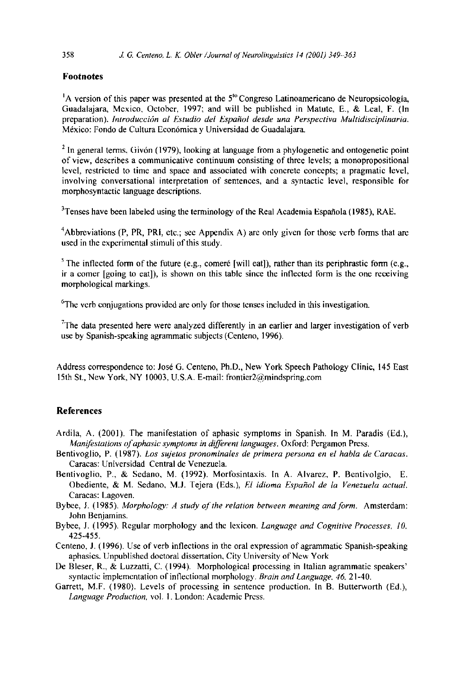#### **Footnotes**

<sup>1</sup>A version of this paper was presented at the  $5<sup>10</sup>$  Congreso Latinoamericano de Neuropsicología. Guadalajara, Mexico, October, 1997; and will be published in Matute, E., & Leal, F. (In preparation), *Introducción al Estudio del Español desde una Perspectiva Multidisciplinaria.* M6xico: Fondo de Cultura Econ6mica y Universidad de Guadalajara.

 $2 \ln$  general terms, Givón (1979), looking at language from a phylogenetic and ontogenetic point of view, describes a communicative continuum consisting of three levels; a monopropositional level, restricted to time and space and associated with concrete concepts; a pragmatic level, involving conversational interpretation of sentences, and a syntactic level, responsible for morphosyntactic language descriptions.

 $3$ Tenses have been labeled using the terminology of the Real Academia Española (1985), RAE.

<sup>4</sup>Abbreviations (P, PR, PRI, etc.; see Appendix A) are only given for those verb forms that are used in the experimental stimuli of this study.

<sup>5</sup> The inflected form of the future (e.g., comeré [will eat]), rather than its periphrastic form (e.g., ir a comer [going to eat]), is shown on this table since the inflected form is the one receiving morphological markings.

<sup>6</sup>The verb conjugations provided are only for those tenses included in this investigation.

 $T<sup>7</sup>$ The data presented here were analyzed differently in an earlier and larger investigation of verb use by Spanish-speaking agrammatic subjects (Centeno, 1996).

Address correspondence to: Jos6 G. Centeno, Ph.D., New York Speech Pathology Clinic, 145 East 15th St., New York, NY 10003, U.S.A. E-mail: frontier $2@$ mindspring.com

#### **References**

- Ardila, A. (2001). The manifestation of aphasic symptoms in Spanish. In M. Paradis (Ed.), *Manifestations of aphasic symptoms in different languages.* Oxford: Pergamon Press.
- Bentivoglio, P. (1987). *Los sujetos pronominales de primera persona en el habla de Caracas.*  Caracas: Universidad Central de Venezuela.
- Bentivoglio, P., & Sedano, M. (1992). Morfosintaxis. In A. Alvarez, P. Bentivolgio, E. Obediente, & M. Sedano, M.J. Tejera (Eds,), *El idioma Espahol de la Venezuela actual.*  Caracas: Lagoven.
- Bybee, J. (1985). *Morphology: A study of the relation between meaning and form.* Amsterdam: John Benjamins.
- Bybee, J. (1995). Regular morphology and the lexicon. *Language and Cognitive Processes, I0.*  425-455.
- Centeno, J. (1996). Use of verb inflections in the oral expression of agrammatic Spanish-speaking aphasics. Unpublished doctoral dissertation, City University of New York
- De Bleser, R., & Luzzatti, C. (1994). Morphological processing in Italian agrammatic speakers' syntactic implementation of inflectional morphology. *Brain and Language, 46,* 21-40.
- Garrett, M.F. (1980). Levels of processing in sentence production. In B. Butterworth (Ed.), *Language Production,* vol. I. London: Academic Press.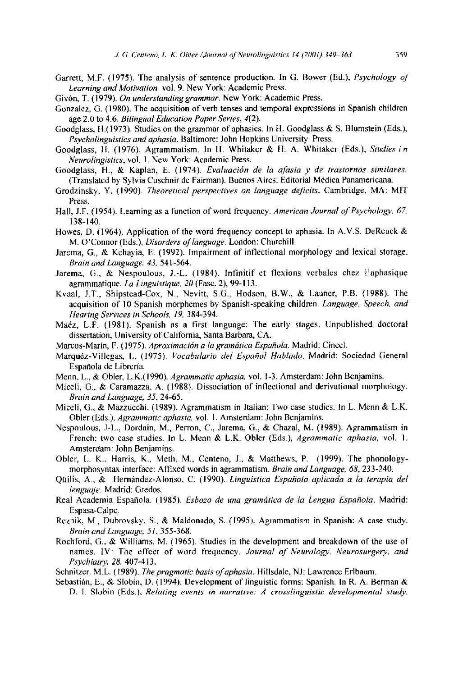- Garrett, M.F. (1975). The analysis of sentence production. In G. Bower (Ed.), *Psychology of Learning and Motivation,* vol. 9. New York: Academic Press.
- Giv6n, T. (! 979). *On understanding grammar.* New York: Academic Press.
- Gonzalez, G. (1980). The acquisition of verb tenses and temporal expressions in Spanish children age 2.0 to 4.6. *Bilingual Education Paper Series,* 4(2).
- Goodglass, H.(1973). Studies on the grammar of aphasics. In H. Goodglass & S. Blumstein (Eds.), *Psycholinguistics and aphasia.* Baltimore: John Hopkins University Press.
- Goodglass, H. (1976). Agrammatism. In H. Whitaker & H. A. Whitaker (Eds.), *Studies in Neurolingistics,* vol. 1. New York: Academic Press.
- Goodglass, H., & Kaplan, E. (1974). *Evaluación de la afasia y de trastornos similares.* (Translated by Sylvia Cusehnir de Fairman). Buenos Aires: Editorial Mrdica Panamericana.
- Grodzinsky, Y. (1990). *Theoretical perspectives on language deficits.* Cambridge, MA: MIT Press.
- Hall, J.F. (1954). Learning as a function of word frequency. *American Journal of Psychology, 67,*  138-140.
- Howes, D. (1964). Application of the word frequency concept to aphasia. In A.V.S. DeReuck & M. O'Connor (Eds.), *Disorders of language.* London: Churchill
- Jarema, G., & Kehayia, E. (1992). Impairment of inflectional morphology and lexical storage. *Brain and Language, 43,* 541-564.
- Jarema, G., & Nespoulous, J.-L. (1984). lnfinitif et flexions verbales chez l'aphasique agrammatique. *La Linguistique, 20* (Fasc. 2), 99-113.
- Kvaal, J.T., Shipstead-Cox, N., Nevitt, S.G., Hodson, B.W., & Launer, P.B. (1988). The acquisition of 10 Spanish morphemes by Spanish-speaking children. *Language, Speech, and Hearing Services in Schools, 19,* 384-394.
- Maéz, L.F. (1981). Spanish as a first language: The early stages. Unpublished doctoral dissertation, University of California, Santa Barbara, CA.
- Marcos-Marín, F. (1975). *Aproximación a la gramática Española*. Madrid: Cincel.
- Marquéz-Villegas, L. (1975). *Vocabulario del Español Hablado*. Madrid: Sociedad General Espafiola de Libreria.
- Menn, L., & Obler, L.K.(1990). *Agrammatic aphasia,* vol. I-3. Amsterdam: John Benjamins.
- Miceli, G., & Caramazza, A. (1988). Dissociation of inflectional and derivational morphology. *Brain and Language, 35,* 24-65.
- Miceli, G., & Mazzucchi. (1989). Agrammatism in Italian: Two case studies. In L. Menn & L.K. Obler (Eds.), *Agrammatic aphasia,* vol. 1. Amsterdam: John Benjamins.
- Nespoulous, J-L., Dordain, M., Perron, C., Jarema, G., & Chazal, M. (1989). Agrammatism in French: two case studies. In L. Menn & L.K. Obler (Eds.), *Agrammatic aphasia,* vol. I. Amsterdam: John Benjamins.
- Obler, L. K., Harris, K., Meth, M., Centeno, J., & Matthews, P. (1999). The phonologymorphosyntax interface: Affixed words in agrammatism. *Brain and Language, 68,* 233-240.
- Q~iilis, A., & Hernfindez-Alonso, C. (1990). *Lingiiistica Espahola aplicada a la terapia del lenguaje.* Madrid: Gredos.
- Real Academia Española. (1985). *Esbozo de una gramática de la Lengua Española*. Madrid: Espasa-Calpe.
- Reznik, M., Dubrovsky, S., & Maldonado, S. (1995). Agrammatism in Spanish: A case study. *Brain and Language, 51,355-368.*
- Rochford, G., & Williams, M. (1965). Studies in the development and breakdown of the use of names. IV: The effect of word frequency. *Journal of Neurology, Neurosurgery, and Psychiatry. 28,* 407-413.
- Schnitzer. M.L. (1989). *The pragmatic basis of aphasia*. Hillsdale, NJ: Lawrence Erlbaum.
- Sebastián, E., & Slobin, D. (1994). Development of linguistic forms: Spanish. In R. A. Berman & D. 1. Slobin (Eds.), *Relating events in narrative: A crosslinguistic developmental study.*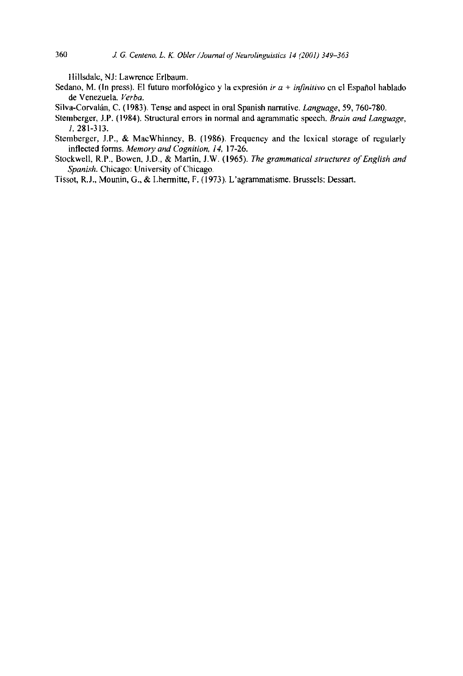Hillsdale, NJ: Lawrence Erlbaum.

- Sedano, M. (In press). El futuro morfológico y la expresión *ir a + infinitivo* en el Español hablado de Venezuela. *Verba.*
- Silva-Corvalán, C. (1983). Tense and aspect in oral Spanish narrative. *Language*, 59, 760-780.
- Stemberger, J.P. (1984). Structural errors in normal and agrammatic speech. *Brain and Language,*  1, 281-313.
- Stemberger, J.P., & MacWhinney, B. (1986). Frequency and the lexical storage of regularly inflected forms. *Memory and Cognition, 14,* 17-26.
- Stockwell, R.P., Bowen, J.D., & Martin, J.W. (1965). *The grammatical structures of English and Spanish.* Chicago: University of Chicago.

Tissot, R.J., Mounin, G., & Lhermitte, F. (1973). L'agrammatisme. Brussels: Dessart.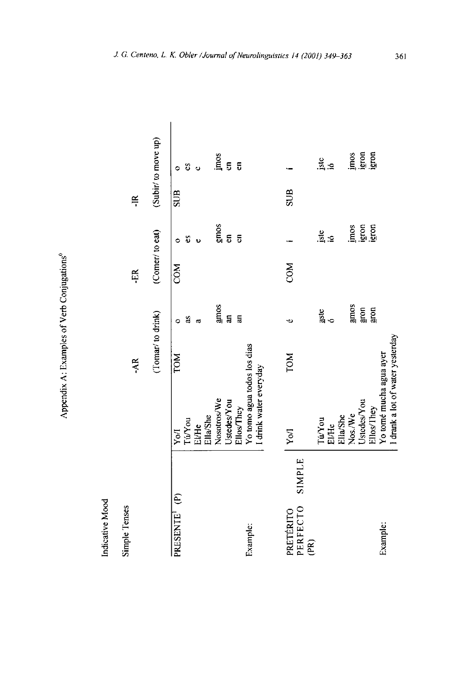| ちょうかい<br>:<br>ļ                |
|--------------------------------|
| Ī<br>i                         |
| $\ddot{\phantom{0}}$<br>si air |
| į                              |
| ١                              |

| Indicative Mood                                      |                                                                                                                          |                   |                |                |                            |                 |                        |
|------------------------------------------------------|--------------------------------------------------------------------------------------------------------------------------|-------------------|----------------|----------------|----------------------------|-----------------|------------------------|
| Simple Tenses                                        |                                                                                                                          | AR.               |                | E <sub>K</sub> |                            | $\widetilde{=}$ |                        |
|                                                      |                                                                                                                          | (Tomar/ to drink) |                | (Comer/to eat) |                            |                 | (Subir/ to move up)    |
| PRESENTE <sup>1</sup> (P)                            | TúYou<br>Yo/I                                                                                                            | <b>NOL</b>        | S<br>$\circ$   | COM            | ę5<br>$\ddot{\phantom{0}}$ | <b>SUB</b>      | go<br>43<br>$\circ$    |
|                                                      | Ella/She<br>El/He                                                                                                        |                   | d              |                |                            |                 |                        |
|                                                      | Nosotros/We                                                                                                              |                   | gamos          |                | $cmos$                     |                 | $\frac{1}{2}$ and      |
|                                                      | Ustedes/You                                                                                                              |                   | Ę              |                | $\overline{\overline{5}}$  |                 |                        |
|                                                      | Ellos/They                                                                                                               |                   | $\overline{a}$ |                | $\overline{5}$             |                 |                        |
| Example:                                             | Yo tomo agua todos los dias<br>I drink water everyday                                                                    |                   |                |                |                            |                 |                        |
| SIMPLE<br>PERFECTO<br>PRETERITO<br>$(\overline{PR})$ | Yoll                                                                                                                     | LON               | ن.             | COM            |                            | <b>SUB</b>      |                        |
|                                                      | Tú/You                                                                                                                   |                   | $\frac{1}{2}$  |                |                            |                 |                        |
|                                                      | EI/He                                                                                                                    |                   | $\ddot{\circ}$ |                | <u>s, e</u>                |                 | <u>័ន្ធ ១</u>          |
|                                                      | Ella/She                                                                                                                 |                   |                |                |                            |                 |                        |
|                                                      | Nos./We                                                                                                                  |                   | amos           |                |                            |                 | ្ម<br>ខេត្ត<br>ខ្មែរថា |
|                                                      | Ustedes/You                                                                                                              |                   | mou            |                |                            |                 |                        |
|                                                      | Ellos/They                                                                                                               |                   | aron           |                |                            |                 |                        |
| Example:                                             | Yo tomé mucha agua ayer<br>$\begin{array}{ccc}\n\bullet & \bullet & \bullet \\ \bullet & \bullet & \bullet\n\end{array}$ |                   |                |                |                            |                 |                        |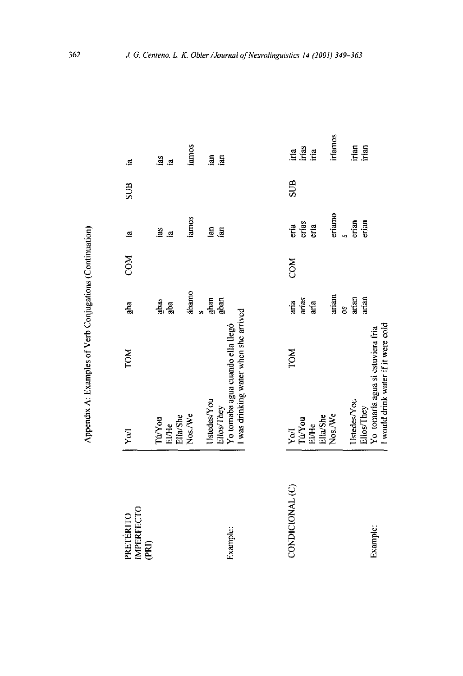| IMPERFECTO<br>(PRI)<br>PRETÉRITO | Yo/I                                                        | <b>NOL</b> | aba                     | <b>NOC</b> | ₫.           | <b>SUB</b> | .역             |
|----------------------------------|-------------------------------------------------------------|------------|-------------------------|------------|--------------|------------|----------------|
|                                  | Tú/You                                                      |            |                         |            | ias          |            |                |
|                                  | EI/He                                                       |            | abas<br>ana             |            | $\mathbf{a}$ |            | នី a           |
|                                  | Ella/She<br>Nos./We                                         |            | ábamo                   |            | <b>iamos</b> |            | iamos          |
|                                  |                                                             |            | $\infty$                |            |              |            |                |
|                                  | Ustedes/You                                                 |            |                         |            | <b>usi</b>   |            |                |
|                                  | Ellos/They                                                  |            | $\frac{1}{4}$<br>advant |            | $\Xi$        |            | <u>ធី ធី</u>   |
| Example:                         | Yo tomaba agua cuando ella llegó                            |            |                         |            |              |            |                |
|                                  | I was drinking water when she arrived                       |            |                         |            |              |            |                |
|                                  |                                                             |            |                         |            |              |            |                |
| CONDICIONAL <sup>(C)</sup>       |                                                             | <b>NOT</b> | aria                    | COM        | ería         | <b>SUB</b> |                |
|                                  | $\frac{Y \text{O/I}}{\Gamma \text{u} Y \text{Ou}}$<br>EI/He |            | arias                   |            | erías        |            | fi a<br>fi fi  |
|                                  |                                                             |            | aría                    |            | ería         |            |                |
|                                  |                                                             |            |                         |            |              |            |                |
|                                  | Ella/She<br>Nos./We                                         |            | aríam                   |            | eriamo       |            | iríamos        |
|                                  |                                                             |            |                         |            |              |            |                |
|                                  | Ustedes/You                                                 |            | os<br>arían             |            | erian        |            |                |
|                                  | Ellos/They                                                  |            | arian                   |            | erian        |            | irian<br>irian |
| Example:                         | Yo tomaría agua si estuviera fría                           |            |                         |            |              |            |                |
|                                  | I would drink water if it were cold                         |            |                         |            |              |            |                |

 $\ddot{a}$ *eca .o 0 > 0 ,<*